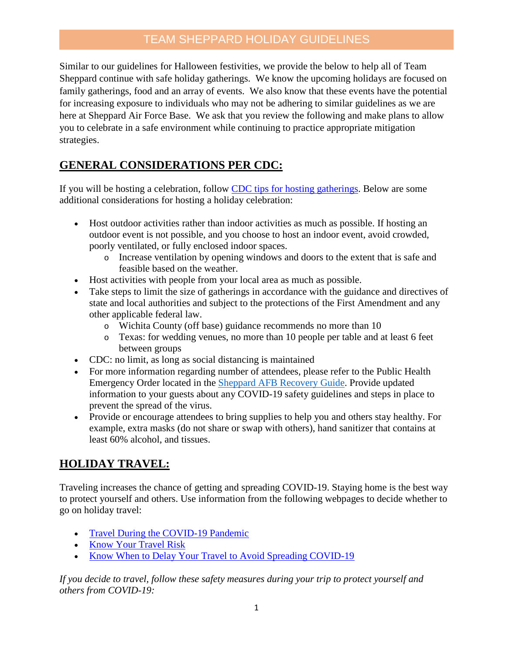## TEAM SHEPPARD HOLIDAY GUIDELINES

Similar to our guidelines for Halloween festivities, we provide the below to help all of Team Sheppard continue with safe holiday gatherings. We know the upcoming holidays are focused on family gatherings, food and an array of events. We also know that these events have the potential for increasing exposure to individuals who may not be adhering to similar guidelines as we are here at Sheppard Air Force Base. We ask that you review the following and make plans to allow you to celebrate in a safe environment while continuing to practice appropriate mitigation strategies.

# **GENERAL CONSIDERATIONS PER CDC:**

If you will be hosting a celebration, follow [CDC tips for hosting gatherings.](https://www.cdc.gov/coronavirus/2019-ncov/daily-life-coping/personal-social-activities.html#gatherings) Below are some additional considerations for hosting a holiday celebration:

- Host outdoor activities rather than indoor activities as much as possible. If hosting an outdoor event is not possible, and you choose to host an indoor event, avoid crowded, poorly ventilated, or fully enclosed indoor spaces.
	- o Increase ventilation by opening windows and doors to the extent that is safe and feasible based on the weather.
- Host activities with people from your local area as much as possible.
- Take steps to limit the size of gatherings in accordance with the guidance and directives of state and local authorities and subject to the protections of the First Amendment and any other applicable federal law.
	- o Wichita County (off base) guidance recommends no more than 10
	- o Texas: for wedding venues, no more than 10 people per table and at least 6 feet between groups
- CDC: no limit, as long as social distancing is maintained
- For more information regarding number of attendees, please refer to the Public Health Emergency Order located in the [Sheppard AFB Recovery Guide.](https://www.sheppard.af.mil/Coronavirus/) Provide updated information to your guests about any COVID-19 safety guidelines and steps in place to prevent the spread of the virus.
- Provide or encourage attendees to bring supplies to help you and others stay healthy. For example, extra [masks](https://www.cdc.gov/coronavirus/2019-ncov/prevent-getting-sick/diy-cloth-face-coverings.html) (do not share or swap with others), hand sanitizer that contains at least 60% alcohol, and tissues.

# **HOLIDAY TRAVEL:**

Traveling increases the chance of getting and spreading COVID-19. Staying home is the best way to protect yourself and others. Use information from the following webpages to decide whether to go on holiday travel:

- [Travel During the COVID-19 Pandemic](https://www.cdc.gov/coronavirus/2019-ncov/travelers/travel-during-covid19.html)
- [Know Your Travel Risk](https://www.cdc.gov/coronavirus/2019-ncov/travelers/travel-risk.html)
- [Know When to Delay Your Travel to Avoid Spreading COVID-19](https://www.cdc.gov/coronavirus/2019-ncov/travelers/when-to-delay-travel.html)

*If you decide to travel, follow these safety measures during your trip to [protect yourself and](https://www.cdc.gov/coronavirus/2019-ncov/prevent-getting-sick/prevention.html)  [others](https://www.cdc.gov/coronavirus/2019-ncov/prevent-getting-sick/prevention.html) from COVID-19:*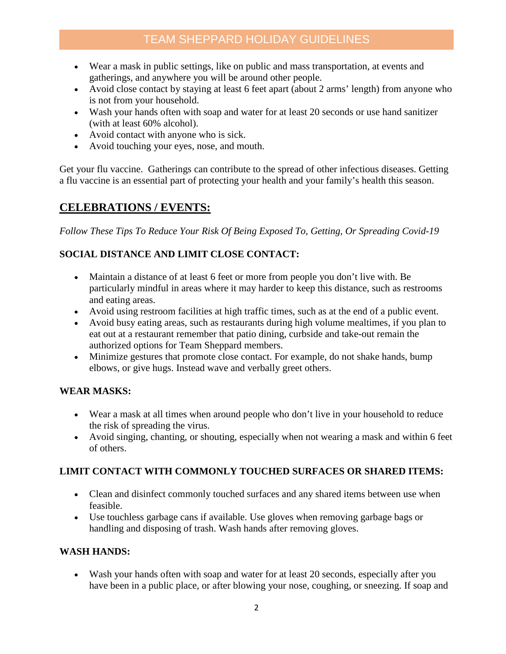# TEAM SHEPPARD HOLIDAY GUIDELINES

- Wear a [mask](https://www.cdc.gov/coronavirus/2019-ncov/prevent-getting-sick/diy-cloth-face-coverings.html) in public settings, like on public and mass transportation, at events and gatherings, and anywhere you will be around other people.
- Avoid close contact by [staying at least 6 feet apart](https://www.cdc.gov/coronavirus/2019-ncov/prevent-getting-sick/social-distancing.html) (about 2 arms' length) from anyone who is not from your household.
- [Wash your hands](https://www.cdc.gov/coronavirus/2019-ncov/prevent-getting-sick/prevention.html) often with soap and water for at least 20 seconds or use hand sanitizer (with at least 60% alcohol).
- Avoid contact with anyone who is sick.
- Avoid touching your eyes, nose, and mouth.

Get your flu vaccine. Gatherings can contribute to the spread of other infectious diseases. Getting a [flu vaccine](https://www.cdc.gov/flu/season/faq-flu-season-2020-2021.htm#anchor_1597410034241) is an essential part of protecting your health and your family's health this season.

## **CELEBRATIONS / EVENTS:**

*Follow These Tips To Reduce Your Risk Of Being Exposed To, Getting, Or Spreading Covid-19* 

### **SOCIAL DISTANCE AND LIMIT CLOSE CONTACT:**

- [Maintain a distance](https://www.cdc.gov/coronavirus/2019-ncov/prevent-getting-sick/social-distancing.html) of at least 6 feet or more from people you don't live with. Be particularly mindful in areas where it may harder to keep this distance, such as restrooms and eating areas.
- Avoid using restroom facilities at high traffic times, such as at the end of a public event.
- Avoid busy eating areas, such as restaurants during high volume mealtimes, if you plan to [eat out at a restaurant](https://www.cdc.gov/coronavirus/2019-ncov/daily-life-coping/personal-social-activities.html#restaurant) remember that patio dining, curbside and take-out remain the authorized options for Team Sheppard members.
- Minimize gestures that promote close contact. For example, do not shake hands, bump elbows, or give hugs. Instead wave and verbally greet others.

### **WEAR MASKS:**

- Wear a mask at all times when around people who don't live in your household to reduce the risk of spreading the virus.
- Avoid singing, chanting, or shouting, especially when not wearing a mask and within 6 feet of others.

### **LIMIT CONTACT WITH COMMONLY TOUCHED SURFACES OR SHARED ITEMS:**

- Clean and disinfect commonly touched surfaces and any shared items between use when feasible.
- Use touchless garbage cans if available. Use gloves when removing garbage bags or handling and disposing of trash. Wash hands after removing gloves.

#### **WASH HANDS:**

• Wash your hands often with soap and water for at least 20 seconds, especially after you have been in a public place, or after blowing your nose, coughing, or sneezing. If soap and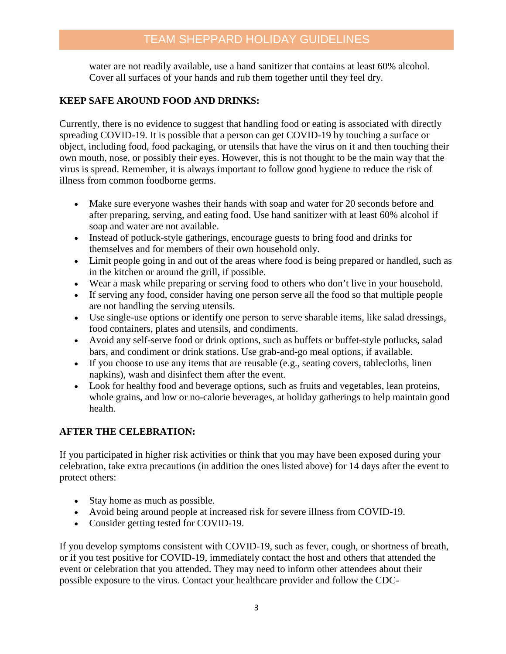water are not readily available, use a hand sanitizer that contains at least 60% alcohol. Cover all surfaces of your hands and rub them together until they feel dry.

### **KEEP SAFE AROUND FOOD AND DRINKS:**

Currently, there is no evidence to suggest that handling food or eating is associated with directly spreading COVID-19. It is possible that a person can get COVID-19 by touching a surface or object, including food, food packaging, or utensils that have the virus on it and then touching their own mouth, nose, or possibly their eyes. However, this is not thought to be the main way that the virus is spread. Remember, it is always important to follow good hygiene to reduce the risk of illness from common foodborne germs.

- Make sure everyone washes their hands with soap and water for 20 seconds before and after preparing, serving, and eating food. Use hand sanitizer with at least 60% alcohol if soap and water are not available.
- Instead of potluck-style gatherings, encourage guests to bring food and drinks for themselves and for members of their own household only.
- Limit people going in and out of the areas where food is being prepared or handled, such as in the kitchen or around the grill, if possible.
- Wear a [mask](https://www.cdc.gov/coronavirus/2019-ncov/prevent-getting-sick/about-face-coverings.html) while preparing or serving food to others who don't live in your household.
- If serving any food, consider having one person serve all the food so that multiple people are not handling the serving utensils.
- Use single-use options or identify one person to serve sharable items, like salad dressings, food containers, plates and utensils, and condiments.
- Avoid any self-serve food or drink options, such as buffets or buffet-style potlucks, salad bars, and condiment or drink stations. Use grab-and-go meal options, if available.
- If you choose to use any items that are reusable (e.g., seating covers, tablecloths, linen napkins), wash [and disinfect](https://www.cdc.gov/coronavirus/2019-ncov/prevent-getting-sick/disinfecting-your-home.html) them after the event.
- Look for healthy food and beverage options, such as fruits and vegetables, lean proteins, whole grains, and low or no-calorie beverages, at holiday gatherings to help maintain good health.

## **AFTER THE CELEBRATION:**

If you participated in [higher risk activities](https://www.cdc.gov/coronavirus/2019-ncov/daily-life-coping/deciding-to-go-out.html) or think that you may have been exposed during your celebration, take extra precautions (in addition the ones listed above) for 14 days after the event to protect others:

- [Stay home](https://www.cdc.gov/coronavirus/2019-ncov/if-you-are-sick/quarantine.html) as much as possible.
- Avoid being around people at [increased risk for severe illness from COVID-19.](https://www.cdc.gov/coronavirus/2019-ncov/need-extra-precautions/people-at-increased-risk.html)
- Consider getting [tested](https://www.cdc.gov/coronavirus/2019-ncov/testing/diagnostic-testing.html) for COVID-19.

If you develop [symptoms consistent with COVID-19,](https://www.cdc.gov/coronavirus/2019-ncov/symptoms-testing/symptoms.html) such as fever, cough, or shortness of breath, or if you [test positive for COVID-19,](https://www.cdc.gov/coronavirus/2019-ncov/symptoms-testing/testing.html) immediately contact the host and others that attended the event or celebration that you attended. They may need to inform other attendees about their possible exposure to the virus. Contact your healthcare provider and follow the CDC-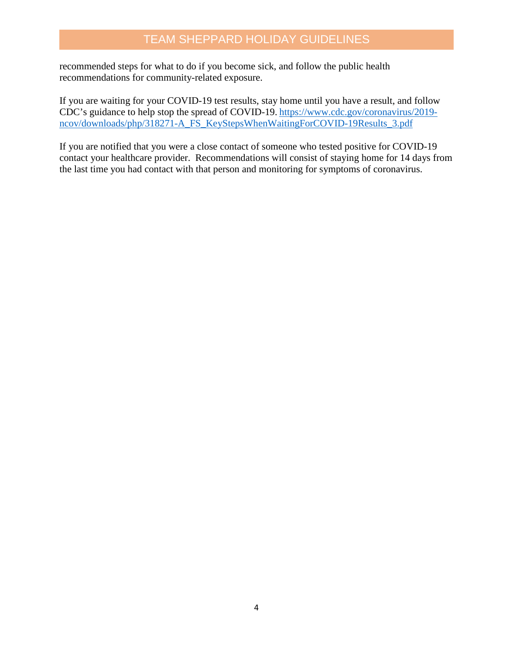recommended steps for [what to do if you become sick,](https://www.cdc.gov/coronavirus/2019-ncov/if-you-are-sick/steps-when-sick.html) and follow the [public health](https://www.cdc.gov/coronavirus/2019-ncov/php/public-health-recommendations.html)  [recommendations for community-related exposure.](https://www.cdc.gov/coronavirus/2019-ncov/php/public-health-recommendations.html)

If you are waiting for your COVID-19 test results, stay home until you have a result, and follow CDC's guidance to help stop the spread of COVID-19. [https://www.cdc.gov/coronavirus/2019](https://www.cdc.gov/coronavirus/2019-ncov/downloads/php/318271-A_FS_KeyStepsWhenWaitingForCOVID-19Results_3.pdf) [ncov/downloads/php/318271-A\\_FS\\_KeyStepsWhenWaitingForCOVID-19Results\\_3.pdf](https://www.cdc.gov/coronavirus/2019-ncov/downloads/php/318271-A_FS_KeyStepsWhenWaitingForCOVID-19Results_3.pdf)

If you are notified that you were a close contact of someone who tested positive for COVID-19 contact your healthcare provider. Recommendations will consist of staying [home for 14 days](https://www.cdc.gov/coronavirus/2019-ncov/if-you-are-sick/quarantine.html) from the last time you had contact with that person and monitoring for [symptoms](https://www.cdc.gov/coronavirus/2019-ncov/symptoms-testing/symptoms.html) of coronavirus.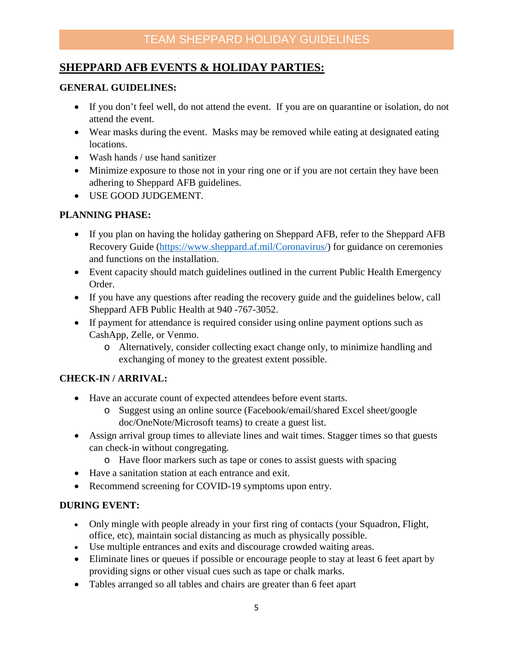## **SHEPPARD AFB EVENTS & HOLIDAY PARTIES:**

#### **GENERAL GUIDELINES:**

- If you don't feel well, do not attend the event. If you are on quarantine or isolation, do not attend the event.
- Wear masks during the event. Masks may be removed while eating at designated eating locations.
- Wash hands / use hand sanitizer
- Minimize exposure to those not in your ring one or if you are not certain they have been adhering to Sheppard AFB guidelines.
- USE GOOD JUDGEMENT.

### **PLANNING PHASE:**

- If you plan on having the holiday gathering on Sheppard AFB, refer to the Sheppard AFB Recovery Guide [\(https://www.sheppard.af.mil/Coronavirus/\)](https://www.sheppard.af.mil/Coronavirus/) for guidance on ceremonies and functions on the installation.
- Event capacity should match guidelines outlined in the current Public Health Emergency Order.
- If you have any questions after reading the recovery guide and the guidelines below, call Sheppard AFB Public Health at 940 -767-3052.
- If payment for attendance is required consider using online payment options such as CashApp, Zelle, or Venmo.
	- o Alternatively, consider collecting exact change only, to minimize handling and exchanging of money to the greatest extent possible.

#### **CHECK-IN / ARRIVAL:**

- Have an accurate count of expected attendees before event starts.
	- o Suggest using an online source (Facebook/email/shared Excel sheet/google doc/OneNote/Microsoft teams) to create a guest list.
- Assign arrival group times to alleviate lines and wait times. Stagger times so that guests can check-in without congregating.
	- o Have floor markers such as tape or cones to assist guests with spacing
- Have a sanitation station at each entrance and exit.
- Recommend screening for COVID-19 symptoms upon entry.

#### **DURING EVENT:**

- Only mingle with people already in your first ring of contacts (your Squadron, Flight, office, etc), maintain social distancing as much as physically possible.
- Use multiple entrances and exits and discourage crowded waiting areas.
- Eliminate lines or queues if possible or encourage people to stay at least 6 feet apart by providing signs or other visual cues such as tape or chalk marks.
- Tables arranged so all tables and chairs are greater than 6 feet apart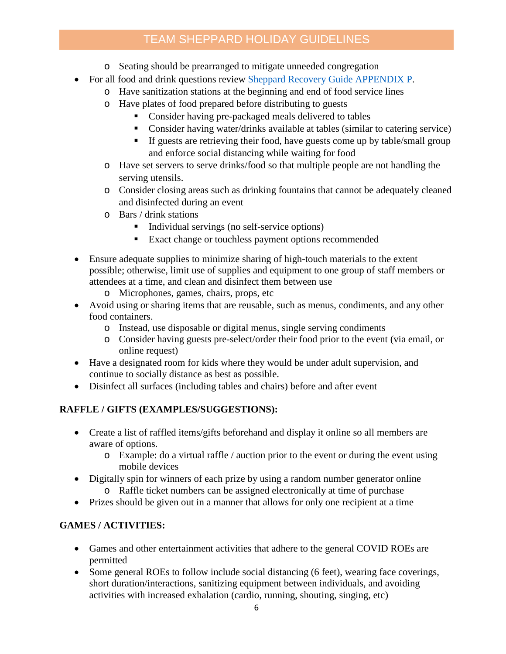# TEAM SHEPPARD HOLIDAY GUIDELINES

- o Seating should be prearranged to mitigate unneeded congregation
- For all food and drink questions review [Sheppard Recovery Guide APPENDIX P.](https://www.sheppard.af.mil/Coronavirus/)
	- o Have sanitization stations at the beginning and end of food service lines
		- o Have plates of food prepared before distributing to guests
			- Consider having pre-packaged meals delivered to tables
			- Consider having water/drinks available at tables (similar to catering service)
			- If guests are retrieving their food, have guests come up by table/small group and enforce social distancing while waiting for food
		- o Have set servers to serve drinks/food so that multiple people are not handling the serving utensils.
		- o Consider closing areas such as drinking fountains that cannot be adequately cleaned and disinfected during an event
		- o Bars / drink stations
			- Individual servings (no self-service options)
			- **Exact change or touchless payment options recommended**
- Ensure adequate supplies to minimize sharing of high-touch materials to the extent possible; otherwise, limit use of supplies and equipment to one group of staff members or attendees at a time, and clean and disinfect them between use
	- o Microphones, games, chairs, props, etc
- Avoid using or sharing items that are reusable, such as menus, condiments, and any other food containers.
	- o Instead, use disposable or digital menus, single serving condiments
	- o Consider having guests pre-select/order their food prior to the event (via email, or online request)
- Have a designated room for kids where they would be under adult supervision, and continue to socially distance as best as possible.
- Disinfect all surfaces (including tables and chairs) before and after event

## **RAFFLE / GIFTS (EXAMPLES/SUGGESTIONS):**

- Create a list of raffled items/gifts beforehand and display it online so all members are aware of options.
	- $\circ$  Example: do a virtual raffle / auction prior to the event or during the event using mobile devices
- Digitally spin for winners of each prize by using a random number generator online o Raffle ticket numbers can be assigned electronically at time of purchase
- Prizes should be given out in a manner that allows for only one recipient at a time

## **GAMES / ACTIVITIES:**

- Games and other entertainment activities that adhere to the general COVID ROEs are permitted
- Some general ROEs to follow include social distancing (6 feet), wearing face coverings, short duration/interactions, sanitizing equipment between individuals, and avoiding activities with increased exhalation (cardio, running, shouting, singing, etc)